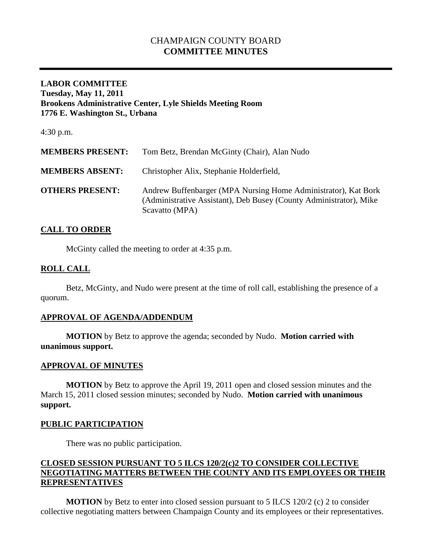# CHAMPAIGN COUNTY BOARD **COMMITTEE MINUTES**

## **LABOR COMMITTEE Tuesday, May 11, 2011 Brookens Administrative Center, Lyle Shields Meeting Room 1776 E. Washington St., Urbana**

4:30 p.m.

| <b>MEMBERS PRESENT:</b> | Tom Betz, Brendan McGinty (Chair), Alan Nudo                                                                                                           |
|-------------------------|--------------------------------------------------------------------------------------------------------------------------------------------------------|
| <b>MEMBERS ABSENT:</b>  | Christopher Alix, Stephanie Holderfield,                                                                                                               |
| <b>OTHERS PRESENT:</b>  | Andrew Buffenbarger (MPA Nursing Home Administrator), Kat Bork<br>(Administrative Assistant), Deb Busey (County Administrator), Mike<br>Scavatto (MPA) |

#### **CALL TO ORDER**

McGinty called the meeting to order at 4:35 p.m.

## **ROLL CALL**

Betz, McGinty, and Nudo were present at the time of roll call, establishing the presence of a quorum.

#### **APPROVAL OF AGENDA/ADDENDUM**

**MOTION** by Betz to approve the agenda; seconded by Nudo. **Motion carried with unanimous support.**

#### **APPROVAL OF MINUTES**

**MOTION** by Betz to approve the April 19, 2011 open and closed session minutes and the March 15, 2011 closed session minutes; seconded by Nudo. **Motion carried with unanimous support.**

#### **PUBLIC PARTICIPATION**

There was no public participation.

## **CLOSED SESSION PURSUANT TO 5 ILCS 120/2(c)2 TO CONSIDER COLLECTIVE NEGOTIATING MATTERS BETWEEN THE COUNTY AND ITS EMPLOYEES OR THEIR REPRESENTATIVES**

**MOTION** by Betz to enter into closed session pursuant to 5 ILCS 120/2 (c) 2 to consider collective negotiating matters between Champaign County and its employees or their representatives.